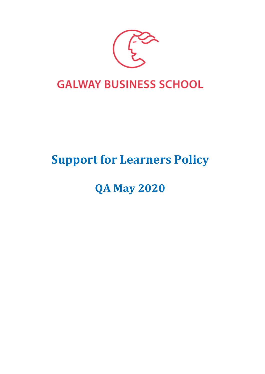

## **Support for Learners Policy**

# **QA May 2020**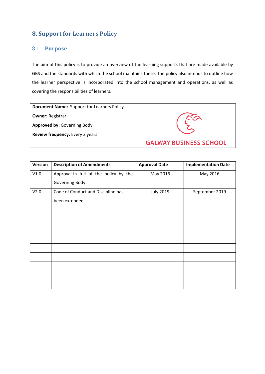## **8. Support for Learners Policy**

## 8.1 **Purpose**

The aim of this policy is to provide an overview of the learning supports that are made available by GBS and the standards with which the school maintains these. The policy also intends to outline how the learner perspective is incorporated into the school management and operations, as well as covering the responsibilities of learners.

| <b>Document Name:</b> Support for Learners Policy |                               |
|---------------------------------------------------|-------------------------------|
| <b>Owner: Registrar</b>                           |                               |
| <b>Approved by: Governing Body</b>                |                               |
| <b>Review frequency:</b> Every 2 years            |                               |
|                                                   | <b>GALWAY BUSINESS SCHOOL</b> |

| <b>Version</b> | <b>Description of Amendments</b>      | <b>Approval Date</b> | <b>Implementation Date</b> |
|----------------|---------------------------------------|----------------------|----------------------------|
| V1.0           | Approval in full of the policy by the | May 2016             | May 2016                   |
|                | Governing Body                        |                      |                            |
| V2.0           | Code of Conduct and Discipline has    | <b>July 2019</b>     | September 2019             |
|                | been extended                         |                      |                            |
|                |                                       |                      |                            |
|                |                                       |                      |                            |
|                |                                       |                      |                            |
|                |                                       |                      |                            |
|                |                                       |                      |                            |
|                |                                       |                      |                            |
|                |                                       |                      |                            |
|                |                                       |                      |                            |
|                |                                       |                      |                            |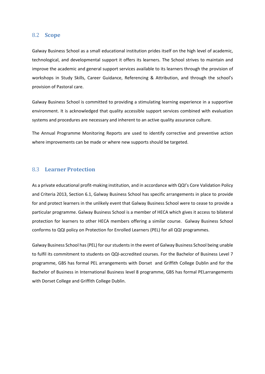## 8.2 **Scope**

Galway Business School as a small educational institution prides itself on the high level of academic, technological, and developmental support it offers its learners. The School strives to maintain and improve the academic and general support services available to its learners through the provision of workshops in Study Skills, Career Guidance, Referencing & Attribution, and through the school's provision of Pastoral care.

Galway Business School is committed to providing a stimulating learning experience in a supportive environment. It is acknowledged that quality accessible support services combined with evaluation systems and procedures are necessary and inherent to an active quality assurance culture.

The Annual Programme Monitoring Reports are used to identify corrective and preventive action where improvements can be made or where new supports should be targeted.

## 8.3 **Learner Protection**

As a private educational profit-making institution, and in accordance with QQI's Core Validation Policy and Criteria 2013, Section 6.1, Galway Business School has specific arrangements in place to provide for and protect learners in the unlikely event that Galway Business School were to cease to provide a particular programme. Galway Business School is a member of HECA which gives it access to bilateral protection for learners to other HECA members offering a similar course. Galway Business School conforms to QQI policy on Protection for Enrolled Learners (PEL) for all QQI programmes.

Galway Business School has (PEL) for our students in the event of Galway Business School being unable to fulfil its commitment to students on QQI-accredited courses. For the Bachelor of Business Level 7 programme, GBS has formal PEL arrangements with Dorset and Griffith College Dublin and for the Bachelor of Business in International Business level 8 programme, GBS has formal PELarrangements with Dorset College and Griffith College Dublin.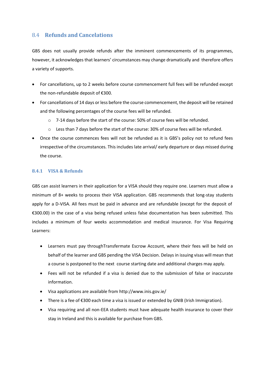## 8.4 **Refunds and Cancelations**

GBS does not usually provide refunds after the imminent commencements of its programmes, however, it acknowledges that learners' circumstances may change dramatically and therefore offers a variety of supports.

- For cancellations, up to 2 weeks before course commencement full fees will be refunded except the non-refundable deposit of €300.
- For cancellations of 14 days or less before the course commencement, the deposit will be retained and the following percentages of the course fees will be refunded.
	- o 7-14 days before the start of the course: 50% of course fees will be refunded.
	- o Less than 7 days before the start of the course: 30% of course fees will be refunded.
- Once the course commences fees will not be refunded as it is GBS's policy not to refund fees irrespective of the circumstances. This includes late arrival/ early departure or days missed during the course.

#### **8.4.1 VISA & Refunds**

GBS can assist learners in their application for a VISA should they require one. Learners must allow a minimum of 8+ weeks to process their VISA application. GBS recommends that long-stay students apply for a D-VISA. All fees must be paid in advance and are refundable (except for the deposit of €300.00) in the case of a visa being refused unless false documentation has been submitted. This includes a minimum of four weeks accommodation and medical insurance. For Visa Requiring Learners:

- Learners must pay throughTransfermate Escrow Account, where their fees will be held on behalf of the learner and GBS pending the VISA Decision. Delays in issuing visas will mean that a course is postponed to the next course starting date and additional charges may apply.
- Fees will not be refunded if a visa is denied due to the submission of false or inaccurate information.
- Visa applications are available from <http://www.inis.gov.ie/>
- There is a fee of €300 each time a visa is issued or extended by GNIB (Irish Immigration).
- Visa requiring and all non-EEA students must have adequate health insurance to cover their stay in Ireland and this is available for purchase from GBS.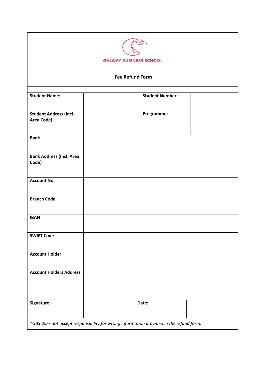| <b>GALWAY BUSINESS SCHOOL</b><br><b>Fee Refund Form</b>                                |  |            |  |  |                                                |
|----------------------------------------------------------------------------------------|--|------------|--|--|------------------------------------------------|
|                                                                                        |  |            |  |  | <b>Student Number:</b><br><b>Student Name:</b> |
|                                                                                        |  |            |  |  |                                                |
| <b>Student Address (Incl.</b><br>Area Code)                                            |  | Programme: |  |  |                                                |
| <b>Bank</b>                                                                            |  |            |  |  |                                                |
| <b>Bank Address (Incl. Area</b><br>Code)                                               |  |            |  |  |                                                |
| <b>Account No</b>                                                                      |  |            |  |  |                                                |
| <b>Branch Code</b>                                                                     |  |            |  |  |                                                |
| <b>IBAN</b>                                                                            |  |            |  |  |                                                |
| <b>SWIFT Code</b>                                                                      |  |            |  |  |                                                |
| <b>Account Holder</b>                                                                  |  |            |  |  |                                                |
| <b>Account Holders Address</b>                                                         |  |            |  |  |                                                |
| Signature:                                                                             |  | Date:      |  |  |                                                |
| *GBS does not accept responsibility for wrong information provided in the refund form. |  |            |  |  |                                                |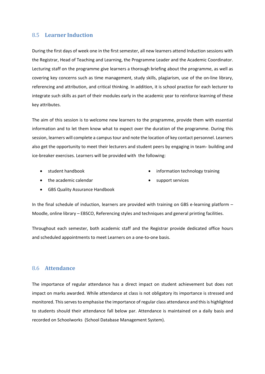## 8.5 **Learner Induction**

During the first days of week one in the first semester, all new learners attend Induction sessions with the Registrar, Head of Teaching and Learning, the Programme Leader and the Academic Coordinator. Lecturing staff on the programme give learners a thorough briefing about the programme, as well as covering key concerns such as time management, study skills, plagiarism, use of the on-line library, referencing and attribution, and critical thinking. In addition, it is school practice for each lecturer to integrate such skills as part of their modules early in the academic year to reinforce learning of these key attributes.

The aim of this session is to welcome new learners to the programme, provide them with essential information and to let them know what to expect over the duration of the programme. During this session, learners will complete a campus tour and note the location of key contact personnel. Learners also get the opportunity to meet their lecturers and student peers by engaging in team- building and ice-breaker exercises. Learners will be provided with the following:

• student handbook

information technology training

• the academic calendar

- support services
- GBS Quality Assurance Handbook

In the final schedule of induction, learners are provided with training on GBS e-learning platform – Moodle, online library – EBSCO, Referencing styles and techniques and general printing facilities.

Throughout each semester, both academic staff and the Registrar provide dedicated office hours and scheduled appointments to meet Learners on a one-to-one basis.

## 8.6 **Attendance**

The importance of regular attendance has a direct impact on student achievement but does not impact on marks awarded. While attendance at class is not obligatory its importance is stressed and monitored. Thisservesto emphasise the importance of regular class attendance and thisis highlighted to students should their attendance fall below par. Attendance is maintained on a daily basis and recorded on Schoolworks (School Database Management System).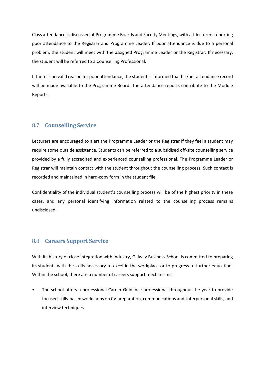Class attendance is discussed at Programme Boards and Faculty Meetings, with all lecturers reporting poor attendance to the Registrar and Programme Leader. If poor attendance is due to a personal problem, the student will meet with the assigned Programme Leader or the Registrar. If necessary, the student will be referred to a Counselling Professional.

If there is no valid reason for poor attendance, the student is informed that his/her attendance record will be made available to the Programme Board. The attendance reports contribute to the Module Reports.

## 8.7 **Counselling Service**

Lecturers are encouraged to alert the Programme Leader or the Registrar if they feel a student may require some outside assistance. Students can be referred to a subsidised off-site counselling service provided by a fully accredited and experienced counselling professional. The Programme Leader or Registrar will maintain contact with the student throughout the counselling process. Such contact is recorded and maintained in hard-copy form in the student file.

Confidentiality of the individual student's counselling process will be of the highest priority in these cases, and any personal identifying information related to the counselling process remains undisclosed.

## 8.8 **Careers Support Service**

With its history of close integration with industry, Galway Business School is committed to preparing its students with the skills necessary to excel in the workplace or to progress to further education. Within the school, there are a number of careers support mechanisms:

• The school offers a professional Career Guidance professional throughout the year to provide focused skills-based workshops on CV preparation, communications and interpersonal skills, and interview techniques.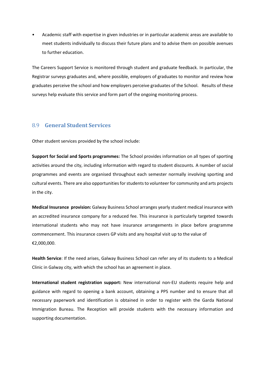• Academic staff with expertise in given industries or in particular academic areas are available to meet students individually to discuss their future plans and to advise them on possible avenues to further education.

The Careers Support Service is monitored through student and graduate feedback. In particular, the Registrar surveys graduates and, where possible, employers of graduates to monitor and review how graduates perceive the school and how employers perceive graduates of the School. Results of these surveys help evaluate this service and form part of the ongoing monitoring process.

## 8.9 **General Student Services**

Other student services provided by the school include:

**Support for Social and Sports programmes:** The School provides information on all types of sporting activities around the city, including information with regard to student discounts. A number of social programmes and events are organised throughout each semester normally involving sporting and cultural events. There are also opportunities for students to volunteer for community and arts projects in the city.

**Medical Insurance provision:** Galway Business School arranges yearly student medical insurance with an accredited insurance company for a reduced fee. This insurance is particularly targeted towards international students who may not have insurance arrangements in place before programme commencement. This insurance covers GP visits and any hospital visit up to the value of €2,000,000.

**Health Service**: If the need arises, Galway Business School can refer any of its students to a Medical Clinic in Galway city, with which the school has an agreement in place.

**International student registration support:** New international non-EU students require help and guidance with regard to opening a bank account, obtaining a PPS number and to ensure that all necessary paperwork and identification is obtained in order to register with the Garda National Immigration Bureau. The Reception will provide students with the necessary information and supporting documentation.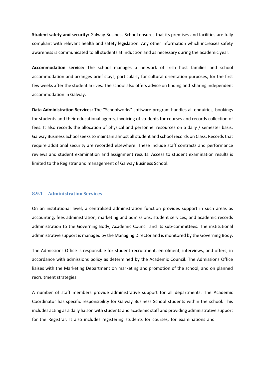**Student safety and security:** Galway Business School ensures that its premises and facilities are fully compliant with relevant health and safety legislation. Any other information which increases safety awareness is communicated to all students at induction and as necessary during the academic year.

**Accommodation service:** The school manages a network of Irish host families and school accommodation and arranges brief stays, particularly for cultural orientation purposes, for the first few weeks after the student arrives. The school also offers advice on finding and sharing independent accommodation in Galway.

**Data Administration Services:** The "Schoolworks" software program handles all enquiries, bookings for students and their educational agents, invoicing of students for courses and records collection of fees. It also records the allocation of physical and personnel resources on a daily / semester basis. Galway Business School seeks to maintain almost all student and school records on Class. Records that require additional security are recorded elsewhere. These include staff contracts and performance reviews and student examination and assignment results. Access to student examination results is limited to the Registrar and management of Galway Business School.

#### **8.9.1 Administration Services**

On an institutional level, a centralised administration function provides support in such areas as accounting, fees administration, marketing and admissions, student services, and academic records administration to the Governing Body, Academic Council and its sub-committees. The institutional administrative support is managed by the Managing Director and is monitored by the Governing Body.

The Admissions Office is responsible for student recruitment, enrolment, interviews, and offers, in accordance with admissions policy as determined by the Academic Council. The Admissions Office liaises with the Marketing Department on marketing and promotion of the school, and on planned recruitment strategies.

A number of staff members provide administrative support for all departments. The Academic Coordinator has specific responsibility for Galway Business School students within the school. This includes acting as a daily liaison with students and academic staff and providing administrative support for the Registrar. It also includes registering students for courses, for examinations and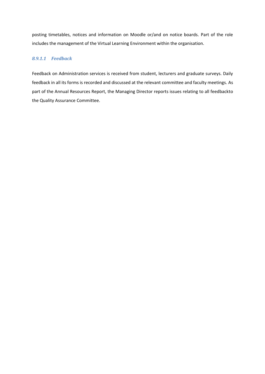posting timetables, notices and information on Moodle or/and on notice boards. Part of the role includes the management of the Virtual Learning Environment within the organisation.

## *8.9.1.1 Feedback*

Feedback on Administration services is received from student, lecturers and graduate surveys. Daily feedback in all its forms is recorded and discussed at the relevant committee and faculty meetings. As part of the Annual Resources Report, the Managing Director reports issues relating to all feedbackto the Quality Assurance Committee.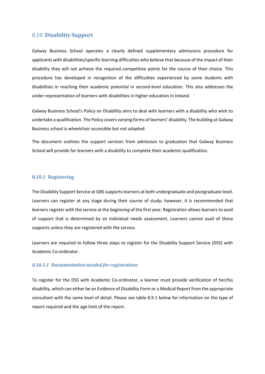#### 8.10 **Disability Support**

Galway Business School operates a clearly defined supplementary admissions procedure for applicants with disabilities/specific learning difficulties who believe that because of the impact of their disability they will not achieve the required competitive points for the course of their choice. This procedure has developed in recognition of the difficulties experienced by some students with disabilities in reaching their academic potential in second-level education. This also addresses the under-representation of learners with disabilities in higher education in Ireland.

Galway Business School's Policy on Disability aims to deal with learners with a disability who wish to undertake a qualification. The Policy covers varying forms of learners' disability. The building at Galway Business school is wheelchair accessible but not adapted.

The document outlines the support services from admission to graduation that Galway Business School will provide for learners with a disability to complete their academic qualification.

#### **8.10.1 Registering**

The Disability Support Service at GBS supports learners at both undergraduate and postgraduate level. Learners can register at any stage during their course of study; however, it is recommended that learners register with the service at the beginning of the first year. Registration allows learners to avail of support that is determined by an individual needs assessment. Learners cannot avail of these supports unless they are registered with the service.

Learners are required to follow three steps to register for the Disability Support Service (DSS) with Academic Co-ordinator.

#### *8.10.1.1 Documentation needed for registration:*

To register for the DSS with Academic Co-ordinator, a learner must provide verification of her/his disability, which can either be an Evidence of Disability Form or a Medical Report from the appropriate consultant with the same level of detail. Please see table 8.9.1 below for information on the type of report required and the age limit of the report.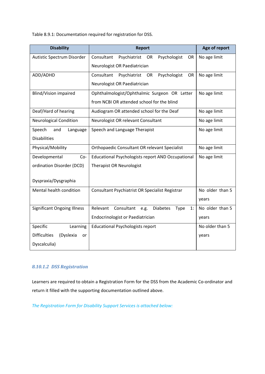Table 8.9.1: Documentation required for registration for DSS.

| <b>Disability</b>                      | <b>Report</b>                                                            | Age of report   |  |
|----------------------------------------|--------------------------------------------------------------------------|-----------------|--|
| Autistic Spectrum Disorder             | Consultant<br>Psychiatrist OR<br>Psychologist<br>OR.                     | No age limit    |  |
|                                        | Neurologist OR Paediatrician                                             |                 |  |
| ADD/ADHD                               | Consultant<br>Psychologist<br>Psychiatrist<br>OR<br><b>OR</b>            | No age limit    |  |
|                                        | Neurologist OR Paediatrician                                             |                 |  |
| Blind/Vision impaired                  | Ophthalmologist/Ophthalmic Surgeon OR Letter                             | No age limit    |  |
|                                        | from NCBI OR attended school for the blind                               |                 |  |
| Deaf/Hard of hearing                   | No age limit                                                             |                 |  |
| <b>Neurological Condition</b>          | Neurologist OR relevant Consultant                                       | No age limit    |  |
| Speech<br>and<br>Language              | Speech and Language Therapist                                            | No age limit    |  |
| <b>Disabilities</b>                    |                                                                          |                 |  |
| Physical/Mobility                      | No age limit                                                             |                 |  |
| Developmental<br>Co-                   | <b>Educational Psychologists report AND Occupational</b><br>No age limit |                 |  |
| ordination Disorder (DCD)              | <b>Therapist OR Neurologist</b>                                          |                 |  |
| Dyspraxia/Dysgraphia                   |                                                                          |                 |  |
|                                        |                                                                          |                 |  |
| Mental health condition                | Consultant Psychiatrist OR Specialist Registrar                          | No older than 5 |  |
|                                        |                                                                          | years           |  |
| <b>Significant Ongoing Illness</b>     | Relevant<br>Consultant<br><b>Diabetes</b><br>Type<br>e.g.<br>1:          | No older than 5 |  |
|                                        | Endocrinologist or Paediatrician                                         | years           |  |
| Specific<br>Learning                   | <b>Educational Psychologists report</b>                                  | No older than 5 |  |
| <b>Difficulties</b><br>(Dyslexia<br>or |                                                                          | years           |  |
| Dyscalculia)                           |                                                                          |                 |  |

## *8.10.1.2 DSS Registration*

Learners are required to obtain a Registration Form for the DSS from the Academic Co-ordinator and return it filled with the supporting documentation outlined above.

*The Registration Form for Disability Support Services is attached below:*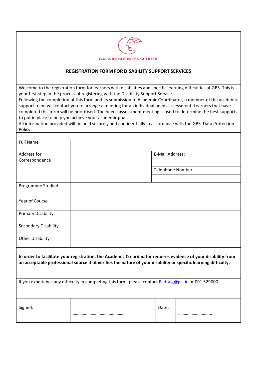

#### **REGISTRATION FORM FOR DISABILITY SUPPORT SERVICES**

Welcome to the registration form for learners with disabilities and specific learning difficulties at GBS. This is your first step in the process of registering with the Disability Support Service.

Following the completion of this form and its submission to Academic Coordinator, a member of the academic support team will contact you to arrange a meeting for an individual needs assessment. Learners that have completed this form will be prioritised. The needs assessment meeting is used to determine the best supports to put in place to help you achieve your academic goals.

All information provided will be held securely and confidentially in accordance with the GBS' Data Protection Policy.

| <b>Full Name</b>                                                                                                                                                                                                                |                                                                                                        |                   |  |  |
|---------------------------------------------------------------------------------------------------------------------------------------------------------------------------------------------------------------------------------|--------------------------------------------------------------------------------------------------------|-------------------|--|--|
| Address for                                                                                                                                                                                                                     |                                                                                                        | E-Mail Address:   |  |  |
| Correspondence                                                                                                                                                                                                                  |                                                                                                        |                   |  |  |
|                                                                                                                                                                                                                                 |                                                                                                        | Telephone Number: |  |  |
|                                                                                                                                                                                                                                 |                                                                                                        |                   |  |  |
| Programme Studied:                                                                                                                                                                                                              |                                                                                                        |                   |  |  |
| Year of Course                                                                                                                                                                                                                  |                                                                                                        |                   |  |  |
| <b>Primary Disability</b>                                                                                                                                                                                                       |                                                                                                        |                   |  |  |
| <b>Secondary Disability</b>                                                                                                                                                                                                     |                                                                                                        |                   |  |  |
| <b>Other Disability</b>                                                                                                                                                                                                         |                                                                                                        |                   |  |  |
| In order to facilitate your registration, the Academic Co-ordinator requires evidence of your disability from<br>an acceptable professional source that verifies the nature of your disability or specific learning difficulty. |                                                                                                        |                   |  |  |
|                                                                                                                                                                                                                                 | If you experience any difficulty in completing this form, please contact Padraig@gci.ie or 091 529000. |                   |  |  |
| Signed:                                                                                                                                                                                                                         |                                                                                                        | Date:             |  |  |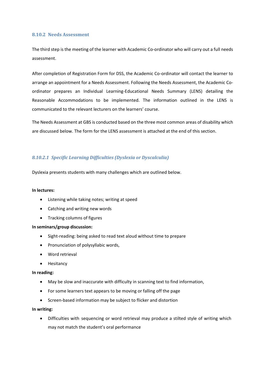#### **8.10.2 Needs Assessment**

The third step is the meeting of the learner with Academic Co-ordinator who will carry out a full needs assessment.

After completion of Registration Form for DSS, the Academic Co-ordinator will contact the learner to arrange an appointment for a Needs Assessment. Following the Needs Assessment, the Academic Coordinator prepares an Individual Learning-Educational Needs Summary (LENS) detailing the Reasonable Accommodations to be implemented. The information outlined in the LENS is communicated to the relevant lecturers on the learners' course.

The Needs Assessment at GBS is conducted based on the three most common areas of disability which are discussed below. The form for the LENS assessment is attached at the end of this section.

#### *8.10.2.1 Specific Learning Difficulties (Dyslexia or Dyscalculia)*

Dyslexia presents students with many challenges which are outlined below.

#### **In lectures:**

- Listening while taking notes; writing at speed
- Catching and writing new words
- Tracking columns of figures

#### **In seminars/group discussion:**

- Sight-reading: being asked to read text aloud without time to prepare
- Pronunciation of polysyllabic words,
- Word retrieval
- Hesitancy

#### **In reading:**

- May be slow and inaccurate with difficulty in scanning text to find information,
- For some learners text appears to be moving or falling off the page
- Screen-based information may be subject to flicker and distortion

#### **In writing:**

• Difficulties with sequencing or word retrieval may produce a stilted style of writing which may not match the student's oral performance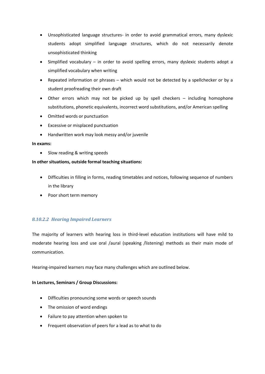- Unsophisticated language structures- in order to avoid grammatical errors, many dyslexic students adopt simplified language structures, which do not necessarily denote unsophisticated thinking
- Simplified vocabulary in order to avoid spelling errors, many dyslexic students adopt a simplified vocabulary when writing
- Repeated information or phrases which would not be detected by a spellchecker or by a student proofreading their own draft
- Other errors which may not be picked up by spell checkers including homophone substitutions, phonetic equivalents, incorrect word substitutions, and/or American spelling
- Omitted words or punctuation
- Excessive or misplaced punctuation
- Handwritten work may look messy and/or juvenile

#### **In exams:**

• Slow reading & writing speeds

#### **In other situations, outside formal teaching situations:**

- Difficulties in filling in forms, reading timetables and notices, following sequence of numbers in the library
- Poor short term memory

## *8.10.2.2 Hearing Impaired Learners*

The majority of learners with hearing loss in third-level education institutions will have mild to moderate hearing loss and use oral /aural (speaking /listening) methods as their main mode of communication.

Hearing-impaired learners may face many challenges which are outlined below.

#### **In Lectures, Seminars / Group Discussions:**

- Difficulties pronouncing some words or speech sounds
- The omission of word endings
- Failure to pay attention when spoken to
- Frequent observation of peers for a lead as to what to do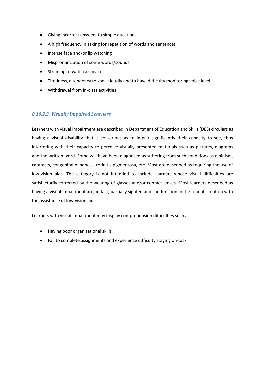- Giving incorrect answers to simple questions
- A high frequency in asking for repetition of words and sentences
- Intense face and/or lip watching
- Mispronunciation of some words/sounds
- Straining to watch a speaker
- Tiredness, a tendency to speak loudly and to have difficulty monitoring voice level
- Withdrawal from in-class activities

#### *8.10.2.3 Visually Impaired Learners*

Learners with visual impairment are described in Department of Education and Skills (DES) circulars as having a visual disability that is so serious as to impair significantly their capacity to see, thus interfering with their capacity to perceive visually presented materials such as pictures, diagrams and the written word. Some will have been diagnosed as suffering from such conditions as albinism, cataracts, congenital blindness, retinitis pigmentosa, etc. Most are described as requiring the use of low-vision aids. The category is not intended to include learners whose visual difficulties are satisfactorily corrected by the wearing of glasses and/or contact lenses. Most learners described as having a visual impairment are, in fact, partially sighted and can function in the school situation with the assistance of low-vision aids.

Learners with visual impairment may display comprehension difficulties such as:

- Having poor organisational skills
- Fail to complete assignments and experience difficulty staying on-task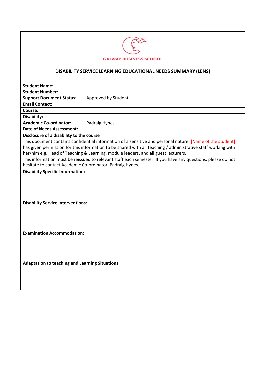

## **DISABILITY SERVICE LEARNING EDUCATIONAL NEEDS SUMMARY (LENS)**

| <b>Student Name:</b>                                                                                                                                                                                                                                                                                                                                                                                                                                                                                                                    |                     |  |  |
|-----------------------------------------------------------------------------------------------------------------------------------------------------------------------------------------------------------------------------------------------------------------------------------------------------------------------------------------------------------------------------------------------------------------------------------------------------------------------------------------------------------------------------------------|---------------------|--|--|
| <b>Student Number:</b>                                                                                                                                                                                                                                                                                                                                                                                                                                                                                                                  |                     |  |  |
| <b>Support Document Status:</b>                                                                                                                                                                                                                                                                                                                                                                                                                                                                                                         | Approved by Student |  |  |
| <b>Email Contact:</b>                                                                                                                                                                                                                                                                                                                                                                                                                                                                                                                   |                     |  |  |
| Course:                                                                                                                                                                                                                                                                                                                                                                                                                                                                                                                                 |                     |  |  |
| Disability:                                                                                                                                                                                                                                                                                                                                                                                                                                                                                                                             |                     |  |  |
| <b>Academic Co-ordinator:</b>                                                                                                                                                                                                                                                                                                                                                                                                                                                                                                           | Padraig Hynes       |  |  |
| <b>Date of Needs Assessment:</b>                                                                                                                                                                                                                                                                                                                                                                                                                                                                                                        |                     |  |  |
| Disclosure of a disability to the course<br>This document contains confidential information of a sensitive and personal nature. [Name of the student]<br>has given permission for this information to be shared with all teaching / administrative staff working with<br>her/him e.g. Head of Teaching & Learning, module leaders, and all guest lecturers.<br>This information must be reissued to relevant staff each semester. If you have any questions, please do not<br>hesitate to contact Academic Co-ordinator, Padraig Hynes. |                     |  |  |
| <b>Disability Service Interventions:</b>                                                                                                                                                                                                                                                                                                                                                                                                                                                                                                |                     |  |  |
|                                                                                                                                                                                                                                                                                                                                                                                                                                                                                                                                         |                     |  |  |
| <b>Examination Accommodation:</b>                                                                                                                                                                                                                                                                                                                                                                                                                                                                                                       |                     |  |  |
| <b>Adaptation to teaching and Learning Situations:</b>                                                                                                                                                                                                                                                                                                                                                                                                                                                                                  |                     |  |  |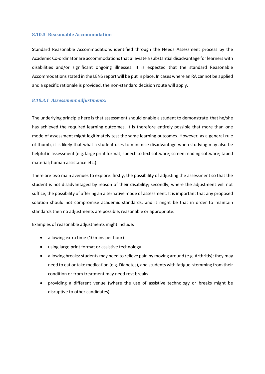#### **8.10.3 Reasonable Accommodation**

Standard Reasonable Accommodations identified through the Needs Assessment process by the Academic Co-ordinator are accommodations that alleviate a substantial disadvantage for learners with disabilities and/or significant ongoing illnesses. It is expected that the standard Reasonable Accommodations stated in the LENS report will be put in place. In cases where an RA cannot be applied and a specific rationale is provided, the non-standard decision route will apply.

#### *8.10.3.1 Assessment adjustments:*

The underlying principle here is that assessment should enable a student to demonstrate that he/she has achieved the required learning outcomes. It is therefore entirely possible that more than one mode of assessment might legitimately test the same learning outcomes. However, as a general rule of thumb, it is likely that what a student uses to minimise disadvantage when studying may also be helpful in assessment (e.g. large print format; speech to text software; screen reading software; taped material; human assistance etc.)

There are two main avenues to explore: firstly, the possibility of adjusting the assessment so that the student is not disadvantaged by reason of their disability; secondly, where the adjustment will not suffice, the possibility of offering an alternative mode of assessment. It is important that any proposed solution should not compromise academic standards, and it might be that in order to maintain standards then no adjustments are possible, reasonable or appropriate.

Examples of reasonable adjustments might include:

- allowing extra time (10 mins per hour)
- using large print format or assistive technology
- allowing breaks: students may need to relieve pain by moving around (e.g. Arthritis); they may need to eat or take medication (e.g. Diabetes), and students with fatigue stemming from their condition or from treatment may need rest breaks
- providing a different venue (where the use of assistive technology or breaks might be disruptive to other candidates)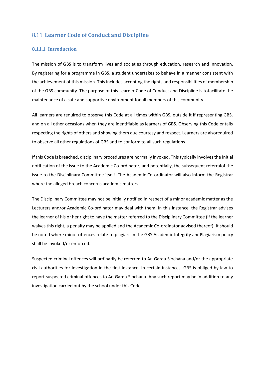## 8.11 **Learner Code of Conduct and Discipline**

#### **8.11.1 Introduction**

The mission of GBS is to transform lives and societies through education, research and innovation. By registering for a programme in GBS, a student undertakes to behave in a manner consistent with the achievement of this mission. This includes accepting the rights and responsibilities of membership of the GBS community. The purpose of this Learner Code of Conduct and Discipline is tofacilitate the maintenance of a safe and supportive environment for all members of this community.

All learners are required to observe this Code at all times within GBS, outside it if representing GBS, and on all other occasions when they are identifiable as learners of GBS. Observing this Code entails respecting the rights of others and showing them due courtesy and respect. Learners are alsorequired to observe all other regulations of GBS and to conform to all such regulations.

If this Code is breached, disciplinary procedures are normally invoked. This typically involves the initial notification of the issue to the Academic Co-ordinator, and potentially, the subsequent referralof the issue to the Disciplinary Committee itself. The Academic Co-ordinator will also inform the Registrar where the alleged breach concerns academic matters.

The Disciplinary Committee may not be initially notified in respect of a minor academic matter as the Lecturers and/or Academic Co-ordinator may deal with them. In this instance, the Registrar advises the learner of his or her right to have the matter referred to the Disciplinary Committee (if the learner waives this right, a penalty may be applied and the Academic Co-ordinator advised thereof). It should be noted where minor offences relate to plagiarism the GBS Academic Integrity andPlagiarism policy shall be invoked/or enforced.

Suspected criminal offences will ordinarily be referred to An Garda Síochána and/or the appropriate civil authorities for investigation in the first instance. In certain instances, GBS is obliged by law to report suspected criminal offences to An Garda Síochána. Any such report may be in addition to any investigation carried out by the school under this Code.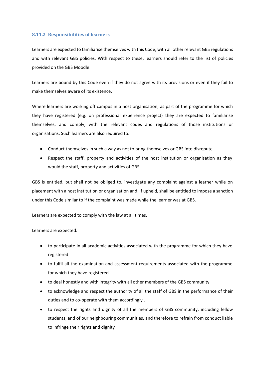#### **8.11.2 Responsibilities of learners**

Learners are expected to familiarise themselves with this Code, with all other relevant GBS regulations and with relevant GBS policies. With respect to these, learners should refer to the list of policies provided on the GBS Moodle.

Learners are bound by this Code even if they do not agree with its provisions or even if they fail to make themselves aware of its existence.

Where learners are working off campus in a host organisation, as part of the programme for which they have registered (e.g. on professional experience project) they are expected to familiarise themselves, and comply, with the relevant codes and regulations of those institutions or organisations. Such learners are also required to:

- Conduct themselves in such a way as not to bring themselves or GBS into disrepute.
- Respect the staff, property and activities of the host institution or organisation as they would the staff, property and activities of GBS.

GBS is entitled, but shall not be obliged to, investigate any complaint against a learner while on placement with a host institution or organisation and, if upheld, shall be entitled to impose a sanction under this Code similar to if the complaint was made while the learner was at GBS.

Learners are expected to comply with the law at all times.

Learners are expected:

- to participate in all academic activities associated with the programme for which they have registered
- to fulfil all the examination and assessment requirements associated with the programme for which they have registered
- to deal honestly and with integrity with all other members of the GBS community
- to acknowledge and respect the authority of all the staff of GBS in the performance of their duties and to co-operate with them accordingly .
- to respect the rights and dignity of all the members of GBS community, including fellow students, and of our neighbouring communities, and therefore to refrain from conduct liable to infringe their rights and dignity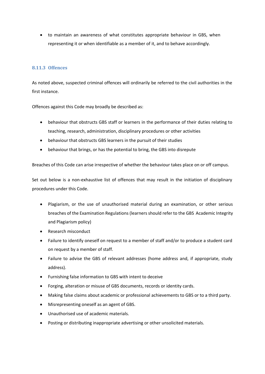• to maintain an awareness of what constitutes appropriate behaviour in GBS, when representing it or when identifiable as a member of it, and to behave accordingly.

#### **8.11.3 Offences**

As noted above, suspected criminal offences will ordinarily be referred to the civil authorities in the first instance.

Offences against this Code may broadly be described as:

- behaviour that obstructs GBS staff or learners in the performance of their duties relating to teaching, research, administration, disciplinary procedures or other activities
- behaviour that obstructs GBS learners in the pursuit of their studies
- behaviour that brings, or has the potential to bring, the GBS into disrepute

Breaches of this Code can arise irrespective of whether the behaviour takes place on or off campus.

Set out below is a non-exhaustive list of offences that may result in the initiation of disciplinary procedures under this Code.

- Plagiarism, or the use of unauthorised material during an examination, or other serious breaches of the Examination Regulations(learners should refer to the GBS Academic Integrity and Plagiarism policy)
- Research misconduct
- Failure to identify oneself on request to a member of staff and/or to produce a student card on request by a member of staff.
- Failure to advise the GBS of relevant addresses (home address and, if appropriate, study address).
- Furnishing false information to GBS with intent to deceive
- Forging, alteration or misuse of GBS documents, records or identity cards.
- Making false claims about academic or professional achievements to GBS or to a third party.
- Misrepresenting oneself as an agent of GBS.
- Unauthorised use of academic materials.
- Posting or distributing inappropriate advertising or other unsolicited materials.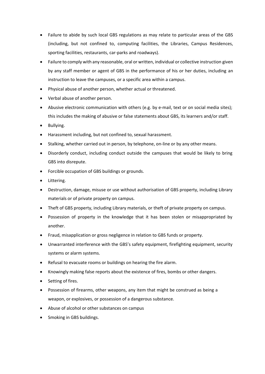- Failure to abide by such local GBS regulations as may relate to particular areas of the GBS (including, but not confined to, computing facilities, the Libraries, Campus Residences, sporting facilities, restaurants, car-parks and roadways).
- Failure to comply with any reasonable, oral or written, individual or collective instruction given by any staff member or agent of GBS in the performance of his or her duties, including an instruction to leave the campuses, or a specific area within a campus.
- Physical abuse of another person, whether actual or threatened.
- Verbal abuse of another person.
- Abusive electronic communication with others (e.g. by e-mail, text or on social media sites); this includes the making of abusive or false statements about GBS, its learners and/or staff.
- Bullying.
- Harassment including, but not confined to, sexual harassment.
- Stalking, whether carried out in person, by telephone, on-line or by any other means.
- Disorderly conduct, including conduct outside the campuses that would be likely to bring GBS into disrepute.
- Forcible occupation of GBS buildings or grounds.
- Littering.
- Destruction, damage, misuse or use without authorisation of GBS property, including Library materials or of private property on campus.
- Theft of GBS property, including Library materials, or theft of private property on campus.
- Possession of property in the knowledge that it has been stolen or misappropriated by another.
- Fraud, misapplication or gross negligence in relation to GBS funds or property.
- Unwarranted interference with the GBS's safety equipment, firefighting equipment, security systems or alarm systems.
- Refusal to evacuate rooms or buildings on hearing the fire alarm.
- Knowingly making false reports about the existence of fires, bombs or other dangers.
- Setting of fires.
- Possession of firearms, other weapons, any item that might be construed as being a weapon, or explosives, or possession of a dangerous substance.
- Abuse of alcohol or other substances on campus
- Smoking in GBS buildings.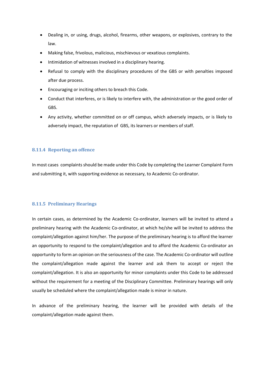- Dealing in, or using, drugs, alcohol, firearms, other weapons, or explosives, contrary to the law.
- Making false, frivolous, malicious, mischievous or vexatious complaints.
- Intimidation of witnesses involved in a disciplinary hearing.
- Refusal to comply with the disciplinary procedures of the GBS or with penalties imposed after due process.
- Encouraging or inciting others to breach this Code.
- Conduct that interferes, or is likely to interfere with, the administration or the good order of GBS.
- Any activity, whether committed on or off campus, which adversely impacts, or is likely to adversely impact, the reputation of GBS, its learners or members of staff.

#### **8.11.4 Reporting an offence**

In most cases complaints should be made under this Code by completing the Learner Complaint Form and submitting it, with supporting evidence as necessary, to Academic Co-ordinator.

#### **8.11.5 Preliminary Hearings**

In certain cases, as determined by the Academic Co-ordinator, learners will be invited to attend a preliminary hearing with the Academic Co-ordinator, at which he/she will be invited to address the complaint/allegation against him/her. The purpose of the preliminary hearing is to afford the learner an opportunity to respond to the complaint/allegation and to afford the Academic Co-ordinator an opportunity to form an opinion on the seriousness of the case. The Academic Co-ordinator will outline the complaint/allegation made against the learner and ask them to accept or reject the complaint/allegation. It is also an opportunity for minor complaints under this Code to be addressed without the requirement for a meeting of the Disciplinary Committee. Preliminary hearings will only usually be scheduled where the complaint/allegation made is minor in nature.

In advance of the preliminary hearing, the learner will be provided with details of the complaint/allegation made against them.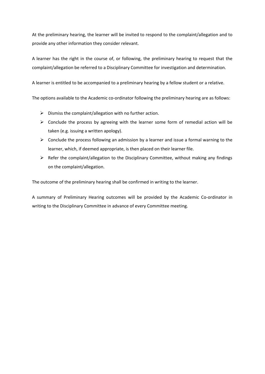At the preliminary hearing, the learner will be invited to respond to the complaint/allegation and to provide any other information they consider relevant.

A learner has the right in the course of, or following, the preliminary hearing to request that the complaint/allegation be referred to a Disciplinary Committee for investigation and determination.

A learner is entitled to be accompanied to a preliminary hearing by a fellow student or a relative.

The options available to the Academic co-ordinator following the preliminary hearing are as follows:

- $\triangleright$  Dismiss the complaint/allegation with no further action.
- $\triangleright$  Conclude the process by agreeing with the learner some form of remedial action will be taken (e.g. issuing a written apology).
- $\triangleright$  Conclude the process following an admission by a learner and issue a formal warning to the learner, which, if deemed appropriate, is then placed on their learner file.
- ➢ Refer the complaint/allegation to the Disciplinary Committee, without making any findings on the complaint/allegation.

The outcome of the preliminary hearing shall be confirmed in writing to the learner.

A summary of Preliminary Hearing outcomes will be provided by the Academic Co-ordinator in writing to the Disciplinary Committee in advance of every Committee meeting.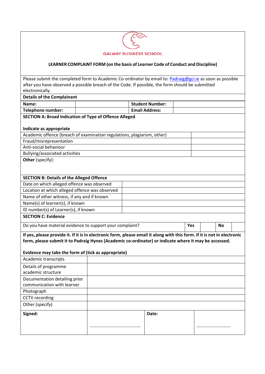

#### **LEARNER COMPLAINT FORM (on the basis of Learner Code of Conduct and Discipline)**

Please submit the completed form to Academic Co-ordinator by email to: [Padraig@gci.ie](mailto:Padraig@gci.ie) as soon as possible after you have observed a possible breach of the Code. If possible, the form should be submitted electronically. **Details of the Complainant Name: Student Number: Student Number: Student Number: Telephone number:**  $\vert$  **Email Address: SECTION A: Broad Indication of Type of Offence Alleged Indicate as appropriate** Academic offence (breach of examination regulations, plagiarism, other) Fraud/misrepresentation Anti-social behaviour Bullying/associated activities **Other** (specify): **SECTION B: Details of the Alleged Offence** Date on which alleged offence was observed Location at which alleged offence was observed Name of other witness, if any and if known Name(s) of learner(s), if known ID number(s) of Learner(s), if known **SECTION C: Evidence** Do you have material evidence to support your complaint? **Yes No** If yes, please provide it. If it is in electronic form, please email it along with this form. If it is not in electronic **form, please submit it to Padraig Hynes (Academic co-ordinator) or indicate where it may be accessed. Evidence may take the form of (tick as appropriate)** Academic transcripts Details of programme academic structure Documentation detailing prior communication with learner Photograph CCTV recording Other (specify) **Signed:** ……………………………………… **Date:** …………………………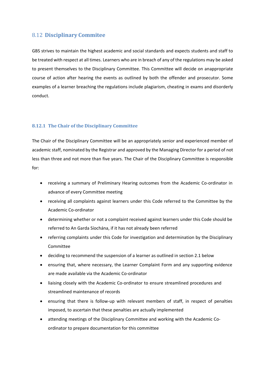## 8.12 **Disciplinary Commitee**

GBS strives to maintain the highest academic and social standards and expects students and staff to be treated with respect at all times. Learners who are in breach of any of the regulations may be asked to present themselves to the Disciplinary Committee. This Committee will decide on anappropriate course of action after hearing the events as outlined by both the offender and prosecutor. Some examples of a learner breaching the regulations include plagiarism, cheating in exams and disorderly conduct.

#### **8.12.1 The Chair of the Disciplinary Committee**

The Chair of the Disciplinary Committee will be an appropriately senior and experienced member of academic staff, nominated by the Registrar and approved by the Managing Director for a period of not less than three and not more than five years. The Chair of the Disciplinary Committee is responsible for:

- receiving a summary of Preliminary Hearing outcomes from the Academic Co-ordinator in advance of every Committee meeting
- receiving all complaints against learners under this Code referred to the Committee by the Academic Co-ordinator
- determining whether or not a complaint received against learners under this Code should be referred to An Garda Síochána, if it has not already been referred
- referring complaints under this Code for investigation and determination by the Disciplinary Committee
- deciding to recommend the suspension of a learner as outlined in section 2.1 below
- ensuring that, where necessary, the Learner Complaint Form and any supporting evidence are made available via the Academic Co-ordinator
- liaising closely with the Academic Co-ordinator to ensure streamlined procedures and streamlined maintenance of records
- ensuring that there is follow-up with relevant members of staff, in respect of penalties imposed, to ascertain that these penalties are actually implemented
- attending meetings of the Disciplinary Committee and working with the Academic Coordinator to prepare documentation for this committee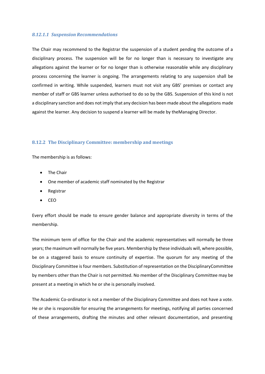#### *8.12.1.1 Suspension Recommendations*

The Chair may recommend to the Registrar the suspension of a student pending the outcome of a disciplinary process. The suspension will be for no longer than is necessary to investigate any allegations against the learner or for no longer than is otherwise reasonable while any disciplinary process concerning the learner is ongoing. The arrangements relating to any suspension shall be confirmed in writing. While suspended, learners must not visit any GBS' premises or contact any member of staff or GBS learner unless authorised to do so by the GBS. Suspension of this kind is not a disciplinary sanction and does not imply that any decision has been made about the allegations made against the learner. Any decision to suspend a learner will be made by theManaging Director.

#### **8.12.2 The Disciplinary Committee: membership and meetings**

The membership is as follows:

- The Chair
- One member of academic staff nominated by the Registrar
- Registrar
- CEO

Every effort should be made to ensure gender balance and appropriate diversity in terms of the membership.

The minimum term of office for the Chair and the academic representatives will normally be three years; the maximum will normally be five years. Membership by these individuals will, where possible, be on a staggered basis to ensure continuity of expertise. The quorum for any meeting of the Disciplinary Committee isfour members. Substitution of representation on the DisciplinaryCommittee by members other than the Chair is not permitted. No member of the Disciplinary Committee may be present at a meeting in which he or she is personally involved.

The Academic Co-ordinator is not a member of the Disciplinary Committee and does not have a vote. He or she is responsible for ensuring the arrangements for meetings, notifying all parties concerned of these arrangements, drafting the minutes and other relevant documentation, and presenting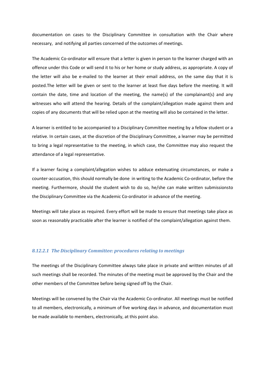documentation on cases to the Disciplinary Committee in consultation with the Chair where necessary, and notifying all parties concerned of the outcomes of meetings.

The Academic Co-ordinator will ensure that a letter is given in person to the learner charged with an offence under this Code or will send it to his or her home or study address, as appropriate. A copy of the letter will also be e-mailed to the learner at their email address, on the same day that it is posted.The letter will be given or sent to the learner at least five days before the meeting. It will contain the date, time and location of the meeting, the name(s) of the complainant(s) and any witnesses who will attend the hearing. Details of the complaint/allegation made against them and copies of any documents that will be relied upon at the meeting will also be contained in the letter.

A learner is entitled to be accompanied to a Disciplinary Committee meeting by a fellow student or a relative. In certain cases, at the discretion of the Disciplinary Committee, a learner may be permitted to bring a legal representative to the meeting, in which case, the Committee may also request the attendance of a legal representative.

If a learner facing a complaint/allegation wishes to adduce extenuating circumstances, or make a counter-accusation, this should normally be done in writing to the Academic Co-ordinator, before the meeting. Furthermore, should the student wish to do so, he/she can make written submissionsto the Disciplinary Committee via the Academic Co-ordinator in advance of the meeting.

Meetings will take place as required. Every effort will be made to ensure that meetings take place as soon as reasonably practicable after the learner is notified of the complaint/allegation against them.

#### *8.12.2.1 The Disciplinary Committee: procedures relating to meetings*

The meetings of the Disciplinary Committee always take place in private and written minutes of all such meetings shall be recorded. The minutes of the meeting must be approved by the Chair and the other members of the Committee before being signed off by the Chair.

Meetings will be convened by the Chair via the Academic Co-ordinator. All meetings must be notified to all members, electronically, a minimum of five working days in advance, and documentation must be made available to members, electronically, at this point also.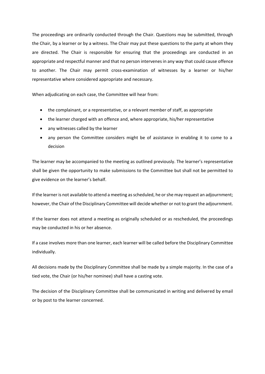The proceedings are ordinarily conducted through the Chair. Questions may be submitted, through the Chair, by a learner or by a witness. The Chair may put these questions to the party at whom they are directed. The Chair is responsible for ensuring that the proceedings are conducted in an appropriate and respectful manner and that no person intervenes in any way that could cause offence to another. The Chair may permit cross-examination of witnesses by a learner or his/her representative where considered appropriate and necessary.

When adjudicating on each case, the Committee will hear from:

- the complainant, or a representative, or a relevant member of staff, as appropriate
- the learner charged with an offence and, where appropriate, his/her representative
- any witnesses called by the learner
- any person the Committee considers might be of assistance in enabling it to come to a decision

The learner may be accompanied to the meeting as outlined previously. The learner's representative shall be given the opportunity to make submissions to the Committee but shall not be permitted to give evidence on the learner's behalf.

If the learner is not available to attend a meeting asscheduled, he orshe may request an adjournment; however, the Chair of the Disciplinary Committee will decide whether or not to grant the adjournment.

If the learner does not attend a meeting as originally scheduled or as rescheduled, the proceedings may be conducted in his or her absence.

If a case involves more than one learner, each learner will be called before the Disciplinary Committee individually.

All decisions made by the Disciplinary Committee shall be made by a simple majority. In the case of a tied vote, the Chair (or his/her nominee) shall have a casting vote.

The decision of the Disciplinary Committee shall be communicated in writing and delivered by email or by post to the learner concerned.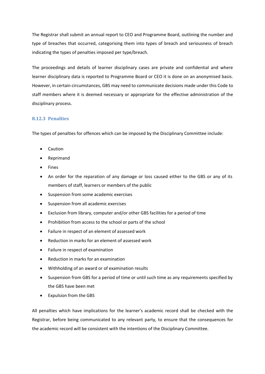The Registrar shall submit an annual report to CEO and Programme Board, outlining the number and type of breaches that occurred, categorising them into types of breach and seriousness of breach indicating the types of penalties imposed per type/breach.

The proceedings and details of learner disciplinary cases are private and confidential and where learner disciplinary data is reported to Programme Board or CEO it is done on an anonymised basis. However, in certain circumstances, GBS may need to communicate decisions made under this Code to staff members where it is deemed necessary or appropriate for the effective administration of the disciplinary process.

## **8.12.3 Penalties**

The types of penalties for offences which can be imposed by the Disciplinary Committee include:

- Caution
- Reprimand
- Fines
- An order for the reparation of any damage or loss caused either to the GBS or any of its members of staff, learners or members of the public
- Suspension from some academic exercises
- Suspension from all academic exercises
- Exclusion from library, computer and/or other GBS facilities for a period of time
- Prohibition from access to the school or parts of the school
- Failure in respect of an element of assessed work
- Reduction in marks for an element of assessed work
- Failure in respect of examination
- Reduction in marks for an examination
- Withholding of an award or of examination results
- Suspension from GBS for a period of time or until such time as any requirements specified by the GBS have been met
- Expulsion from the GBS

All penalties which have implications for the learner's academic record shall be checked with the Registrar, before being communicated to any relevant party, to ensure that the consequences for the academic record will be consistent with the intentions of the Disciplinary Committee.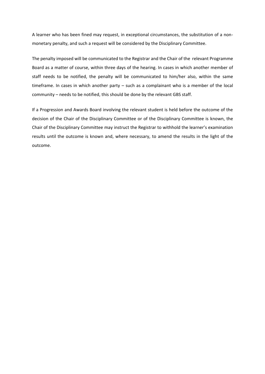A learner who has been fined may request, in exceptional circumstances, the substitution of a nonmonetary penalty, and such a request will be considered by the Disciplinary Committee.

The penalty imposed will be communicated to the Registrar and the Chair of the relevant Programme Board as a matter of course, within three days of the hearing. In cases in which another member of staff needs to be notified, the penalty will be communicated to him/her also, within the same timeframe. In cases in which another party – such as a complainant who is a member of the local community – needs to be notified, this should be done by the relevant GBS staff.

If a Progression and Awards Board involving the relevant student is held before the outcome of the decision of the Chair of the Disciplinary Committee or of the Disciplinary Committee is known, the Chair of the Disciplinary Committee may instruct the Registrar to withhold the learner's examination results until the outcome is known and, where necessary, to amend the results in the light of the outcome.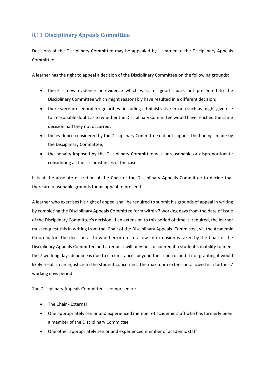## 8.13 **Disciplinary Appeals Committee**

Decisions of the Disciplinary Committee may be appealed by a learner to the Disciplinary Appeals Committee.

A learner has the right to appeal a decision of the Disciplinary Committee on the following grounds:

- there is new evidence or evidence which was, for good cause, not presented to the Disciplinary Committee which might reasonably have resulted in a different decision;
- there were procedural irregularities (including administrative errors) such as might give rise to reasonable doubt as to whether the Disciplinary Committee would have reached the same decision had they not occurred;
- the evidence considered by the Disciplinary Committee did not support the findings made by the Disciplinary Committee;
- the penalty imposed by the Disciplinary Committee was unreasonable or disproportionate considering all the circumstances of the case.

It is at the absolute discretion of the Chair of the Disciplinary Appeals Committee to decide that there are reasonable grounds for an appeal to proceed.

A learner who exercises his right of appeal shall be required to submit his grounds of appeal in writing by completing the Disciplinary Appeals Committee form within 7 working days from the date of issue of the Disciplinary Committee's decision. If an extension to this period of time is required, the learner must request this in writing from the Chair of the Disciplinary Appeals Committee, via the Academic Co-ordinator. The decision as to whether or not to allow an extension is taken by the Chair of the Disciplinary Appeals Committee and a request will only be considered if a student's inability to meet the 7 working days deadline is due to circumstances beyond their control and if not granting it would likely result in an injustice to the student concerned. The maximum extension allowed is a further 7 working days period.

The Disciplinary Appeals Committee is comprised of:

- The Chair External
- One appropriately senior and experienced member of academic staff who has formerly been a member of the Disciplinary Committee
- One other appropriately senior and experienced member of academic staff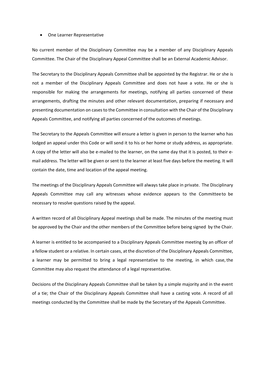#### • One Learner Representative

No current member of the Disciplinary Committee may be a member of any Disciplinary Appeals Committee. The Chair of the Disciplinary Appeal Committee shall be an External Academic Advisor.

The Secretary to the Disciplinary Appeals Committee shall be appointed by the Registrar. He or she is not a member of the Disciplinary Appeals Committee and does not have a vote. He or she is responsible for making the arrangements for meetings, notifying all parties concerned of these arrangements, drafting the minutes and other relevant documentation, preparing if necessary and presenting documentation on cases to the Committee in consultation with the Chair of the Disciplinary Appeals Committee, and notifying all parties concerned of the outcomes of meetings.

The Secretary to the Appeals Committee will ensure a letter is given in person to the learner who has lodged an appeal under this Code or will send it to his or her home or study address, as appropriate. A copy of the letter will also be e-mailed to the learner, on the same day that it is posted, to their email address. The letter will be given or sent to the learner at least five days before the meeting. It will contain the date, time and location of the appeal meeting.

The meetings of the Disciplinary Appeals Committee will always take place in private. The Disciplinary Appeals Committee may call any witnesses whose evidence appears to the Committeeto be necessary to resolve questions raised by the appeal.

A written record of all Disciplinary Appeal meetings shall be made. The minutes of the meeting must be approved by the Chair and the other members of the Committee before being signed by the Chair.

A learner is entitled to be accompanied to a Disciplinary Appeals Committee meeting by an officer of a fellow student or a relative. In certain cases, at the discretion of the Disciplinary Appeals Committee, a learner may be permitted to bring a legal representative to the meeting, in which case, the Committee may also request the attendance of a legal representative.

Decisions of the Disciplinary Appeals Committee shall be taken by a simple majority and in the event of a tie; the Chair of the Disciplinary Appeals Committee shall have a casting vote. A record of all meetings conducted by the Committee shall be made by the Secretary of the Appeals Committee.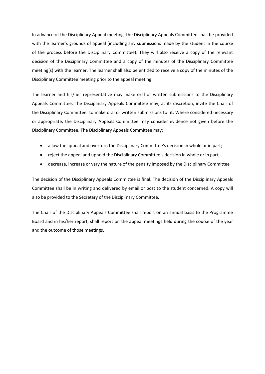In advance of the Disciplinary Appeal meeting, the Disciplinary Appeals Committee shall be provided with the learner's grounds of appeal (including any submissions made by the student in the course of the process before the Disciplinary Committee). They will also receive a copy of the relevant decision of the Disciplinary Committee and a copy of the minutes of the Disciplinary Committee meeting(s) with the learner. The learner shall also be entitled to receive a copy of the minutes of the Disciplinary Committee meeting prior to the appeal meeting.

The learner and his/her representative may make oral or written submissions to the Disciplinary Appeals Committee. The Disciplinary Appeals Committee may, at its discretion, invite the Chair of the Disciplinary Committee to make oral or written submissions to it. Where considered necessary or appropriate, the Disciplinary Appeals Committee may consider evidence not given before the Disciplinary Committee. The Disciplinary Appeals Committee may:

- allow the appeal and overturn the Disciplinary Committee's decision in whole or in part;
- reject the appeal and uphold the Disciplinary Committee's decision in whole or in part;
- decrease, increase or vary the nature of the penalty imposed by the Disciplinary Committee

The decision of the Disciplinary Appeals Committee is final. The decision of the Disciplinary Appeals Committee shall be in writing and delivered by email or post to the student concerned. A copy will also be provided to the Secretary of the Disciplinary Committee.

The Chair of the Disciplinary Appeals Committee shall report on an annual basis to the Programme Board and in his/her report, shall report on the appeal meetings held during the course of the year and the outcome of those meetings.